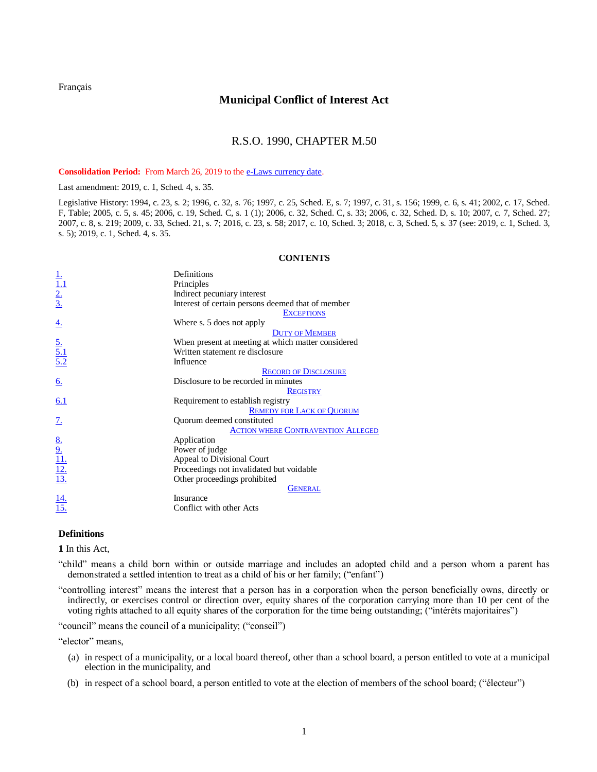<span id="page-0-1"></span>[Français](http://www.ontario.ca/fr/lois/loi/90m50)

# **Municipal Conflict of Interest Act**

# R.S.O. 1990, CHAPTER M.50

Consolidation Period: From March 26, 2019 to th[e e-Laws currency date.](http://www.e-laws.gov.on.ca/navigation?file=currencyDates&lang=en)

Last amendment: [2019, c. 1, Sched. 4, s. 35.](http://www.ontario.ca/laws/statute/S19001#sched4s35)

Legislative History: 1994, c. 23, s. 2; 1996, c. 32, s. 76; 1997, c. 25, Sched. E, s. 7; 1997, c. 31, s. 156; 1999, c. 6, s. 41[; 2002, c. 17, Sched.](http://www.ontario.ca/laws/statute/S02017#schedfs2)  [F, Table;](http://www.ontario.ca/laws/statute/S02017#schedfs2) [2005, c. 5, s. 45;](http://www.ontario.ca/laws/statute/S05005#s45s1) [2006, c. 19, Sched. C, s. 1 \(1\);](http://www.ontario.ca/laws/statute/S06019#schedcs1s1) [2006, c. 32, Sched. C, s. 33;](http://www.ontario.ca/laws/statute/S06032#schedcs33s1) [2006, c. 32, Sched. D, s. 10;](http://www.ontario.ca/laws/statute/S06032#schedds10) [2007, c. 7, Sched. 27;](http://www.ontario.ca/laws/statute/S07007#sched27s1) [2007, c. 8, s. 219;](http://www.ontario.ca/laws/statute/S07008#s219) [2009, c. 33, Sched. 21, s. 7;](http://www.ontario.ca/laws/statute/S09033#sched21s7) [2016, c. 23, s. 58;](http://www.ontario.ca/laws/statute/S16023#s58) [2017, c. 10, Sched. 3;](http://www.ontario.ca/laws/statute/S17010#sched3s1) [2018, c. 3, Sched. 5, s. 37](http://www.ontario.ca/laws/statute/S18003#sched5s37) (see[: 2019, c. 1, Sched. 3,](http://www.ontario.ca/laws/statute/S19001#sched3s5)  [s. 5\)](http://www.ontario.ca/laws/statute/S19001#sched3s5)[; 2019, c. 1, Sched. 4, s. 35.](http://www.ontario.ca/laws/statute/S19001#sched4s35)

## **CONTENTS**

|                                                           | Definitions                                        |
|-----------------------------------------------------------|----------------------------------------------------|
|                                                           | Principles                                         |
| $\frac{1}{\frac{1}{2}}$<br>$\frac{2}{3}$                  | Indirect pecuniary interest                        |
|                                                           | Interest of certain persons deemed that of member  |
|                                                           | <b>EXCEPTIONS</b>                                  |
| <u>4.</u>                                                 | Where s. 5 does not apply                          |
|                                                           | <b>DUTY OF MEMBER</b>                              |
| $\frac{5}{5.1}$<br>$\frac{5.1}{5.2}$                      | When present at meeting at which matter considered |
|                                                           | Written statement re disclosure                    |
|                                                           | Influence                                          |
|                                                           | <b>RECORD OF DISCLOSURE</b>                        |
| <u>6.</u>                                                 | Disclosure to be recorded in minutes               |
|                                                           | <b>REGISTRY</b>                                    |
| 6.1                                                       | Requirement to establish registry                  |
|                                                           | <b>REMEDY FOR LACK OF QUORUM</b>                   |
| $\frac{7}{2}$                                             | Quorum deemed constituted                          |
|                                                           | <b>ACTION WHERE CONTRAVENTION ALLEGED</b>          |
| $\frac{8.}{9.}$<br>$\frac{11.}{12.}$<br>$\frac{12.}{13.}$ | Application                                        |
|                                                           | Power of judge                                     |
|                                                           | Appeal to Divisional Court                         |
|                                                           | Proceedings not invalidated but voidable           |
|                                                           | Other proceedings prohibited                       |
|                                                           | GENERAL                                            |
| $\frac{14}{15}$                                           | Insurance                                          |
|                                                           | Conflict with other Acts                           |

## **Definitions**

<span id="page-0-0"></span>**1** In this Act,

"child" means a child born within or outside marriage and includes an adopted child and a person whom a parent has demonstrated a settled intention to treat as a child of his or her family; ("enfant")

"controlling interest" means the interest that a person has in a corporation when the person beneficially owns, directly or indirectly, or exercises control or direction over, equity shares of the corporation carrying more than 10 per cent of the voting rights attached to all equity shares of the corporation for the time being outstanding; ("intérêts majoritaires")

"council" means the council of a municipality; ("conseil")

"elector" means.

- (a) in respect of a municipality, or a local board thereof, other than a school board, a person entitled to vote at a municipal election in the municipality, and
- (b) in respect of a school board, a person entitled to vote at the election of members of the school board; ("électeur")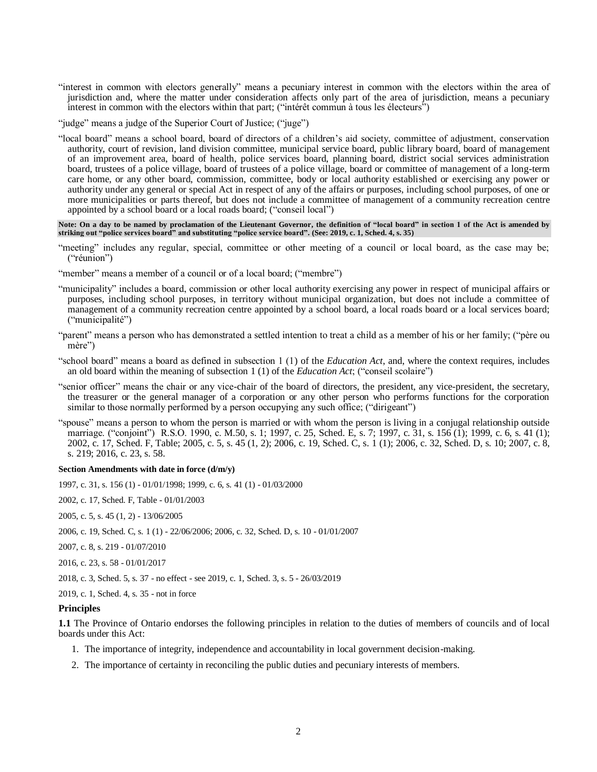"interest in common with electors generally" means a pecuniary interest in common with the electors within the area of jurisdiction and, where the matter under consideration affects only part of the area of jurisdiction, means a pecuniary interest in common with the electors within that part; ("intérêt commun à tous les électeurs")

"judge" means a judge of the Superior Court of Justice; ("juge")

"local board" means a school board, board of directors of a children's aid society, committee of adjustment, conservation authority, court of revision, land division committee, municipal service board, public library board, board of management of an improvement area, board of health, police services board, planning board, district social services administration board, trustees of a police village, board of trustees of a police village, board or committee of management of a long-term care home, or any other board, commission, committee, body or local authority established or exercising any power or authority under any general or special Act in respect of any of the affairs or purposes, including school purposes, of one or more municipalities or parts thereof, but does not include a committee of management of a community recreation centre appointed by a school board or a local roads board; ("conseil local")

**Note: On a day to be named by proclamation of the Lieutenant Governor, the definition of "local board" in section 1 of the Act is amended by striking out "police services board" and substituting "police service board". (See: 2019, c. 1, Sched. 4, s. 35)**

- "meeting" includes any regular, special, committee or other meeting of a council or local board, as the case may be; ("réunion")
- "member" means a member of a council or of a local board; ("membre")
- "municipality" includes a board, commission or other local authority exercising any power in respect of municipal affairs or purposes, including school purposes, in territory without municipal organization, but does not include a committee of management of a community recreation centre appointed by a school board, a local roads board or a local services board; ("municipalité")
- "parent" means a person who has demonstrated a settled intention to treat a child as a member of his or her family; ("père ou mère")
- "school board" means a board as defined in subsection 1 (1) of the *Education Act*, and, where the context requires, includes an old board within the meaning of subsection 1 (1) of the *Education Act*; ("conseil scolaire")
- "senior officer" means the chair or any vice-chair of the board of directors, the president, any vice-president, the secretary, the treasurer or the general manager of a corporation or any other person who performs functions for the corporation similar to those normally performed by a person occupying any such office; ("dirigeant")
- "spouse" means a person to whom the person is married or with whom the person is living in a conjugal relationship outside marriage. ("conjoint") R.S.O. 1990, c. M.50, s. 1; 1997, c. 25, Sched. E, s. 7; 1997, c. 31, s. 156 (1); 1999, c. 6, s. 41 (1); 2002, c. 17, Sched. F, Table; 2005, c. 5, s. 45 (1, 2); 2006, c. 19, Sched. C, s. 1 (1); 2006, c. 32, Sched. D, s. 10; 2007, c. 8, s. 219; 2016, c. 23, s. 58.

#### **Section Amendments with date in force (d/m/y)**

1997, c. 31, s. 156 (1) - 01/01/1998; 1999, c. 6, s. 41 (1) - 01/03/2000

[2002, c. 17, Sched. F, Table](http://www.ontario.ca/laws/statute/S02017#schedfs2) - 01/01/2003

- [2005, c. 5, s. 45 \(1, 2\)](http://www.ontario.ca/laws/statute/S05005#s45s1) 13/06/2005
- [2006, c. 19, Sched. C, s. 1 \(1\)](http://www.ontario.ca/laws/statute/S06019#schedcs1s1) 22/06/2006[; 2006, c. 32, Sched. D, s. 10](http://www.ontario.ca/laws/statute/S06032#schedds10) 01/01/2007
- [2007, c. 8, s. 219](http://www.ontario.ca/laws/statute/S07008#s219) 01/07/2010
- [2016, c. 23, s. 58](http://www.ontario.ca/laws/statute/S16023#s58) 01/01/2017
- [2018, c. 3, Sched. 5, s. 37](http://www.ontario.ca/laws/statute/S18003#sched5s37) no effect see [2019, c. 1, Sched. 3, s. 5](http://www.ontario.ca/laws/statute/S19001#sched3s5) 26/03/2019

[2019, c. 1, Sched. 4, s. 35](http://www.ontario.ca/laws/statute/S19001#sched4s35) - not in force

#### **Principles**

<span id="page-1-0"></span>**1.1** The Province of Ontario endorses the following principles in relation to the duties of members of councils and of local boards under this Act:

- 1. The importance of integrity, independence and accountability in local government decision-making.
- 2. The importance of certainty in reconciling the public duties and pecuniary interests of members.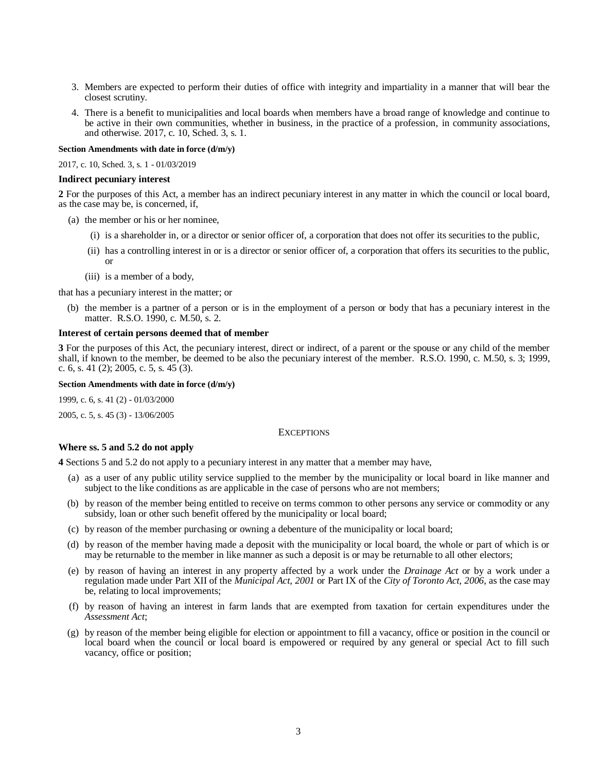- 3. Members are expected to perform their duties of office with integrity and impartiality in a manner that will bear the closest scrutiny.
- 4. There is a benefit to municipalities and local boards when members have a broad range of knowledge and continue to be active in their own communities, whether in business, in the practice of a profession, in community associations, and otherwise. 2017, c. 10, Sched. 3, s. 1.

### **Section Amendments with date in force (d/m/y)**

[2017, c. 10, Sched. 3, s. 1](http://www.ontario.ca/laws/statute/S17010#sched3s1) - 01/03/2019

#### **Indirect pecuniary interest**

<span id="page-2-0"></span>**2** For the purposes of this Act, a member has an indirect pecuniary interest in any matter in which the council or local board, as the case may be, is concerned, if,

- (a) the member or his or her nominee,
	- (i) is a shareholder in, or a director or senior officer of, a corporation that does not offer its securities to the public,
	- (ii) has a controlling interest in or is a director or senior officer of, a corporation that offers its securities to the public, or
	- (iii) is a member of a body,

that has a pecuniary interest in the matter; or

(b) the member is a partner of a person or is in the employment of a person or body that has a pecuniary interest in the matter. R.S.O. 1990, c. M.50, s. 2.

### **Interest of certain persons deemed that of member**

<span id="page-2-1"></span>**3** For the purposes of this Act, the pecuniary interest, direct or indirect, of a parent or the spouse or any child of the member shall, if known to the member, be deemed to be also the pecuniary interest of the member. R.S.O. 1990, c. M.50, s. 3; 1999, c. 6, s. 41 (2); 2005, c. 5, s. 45 (3).

**Section Amendments with date in force (d/m/y)**

1999, c. 6, s. 41 (2) - 01/03/2000

<span id="page-2-2"></span>[2005, c. 5, s. 45 \(3\)](http://www.ontario.ca/laws/statute/S05005#s45s3) - 13/06/2005

#### **EXCEPTIONS**

# **Where ss. 5 and 5.2 do not apply**

<span id="page-2-3"></span>**4** Sections 5 and 5.2 do not apply to a pecuniary interest in any matter that a member may have,

- (a) as a user of any public utility service supplied to the member by the municipality or local board in like manner and subject to the like conditions as are applicable in the case of persons who are not members;
- (b) by reason of the member being entitled to receive on terms common to other persons any service or commodity or any subsidy, loan or other such benefit offered by the municipality or local board;
- (c) by reason of the member purchasing or owning a debenture of the municipality or local board;
- (d) by reason of the member having made a deposit with the municipality or local board, the whole or part of which is or may be returnable to the member in like manner as such a deposit is or may be returnable to all other electors;
- (e) by reason of having an interest in any property affected by a work under the *Drainage Act* or by a work under a regulation made under Part XII of the *Municipal Act*, *2001* or Part IX of the *City of Toronto Act, 2006*, as the case may be, relating to local improvements;
- (f) by reason of having an interest in farm lands that are exempted from taxation for certain expenditures under the *Assessment Act*;
- (g) by reason of the member being eligible for election or appointment to fill a vacancy, office or position in the council or local board when the council or local board is empowered or required by any general or special Act to fill such vacancy, office or position;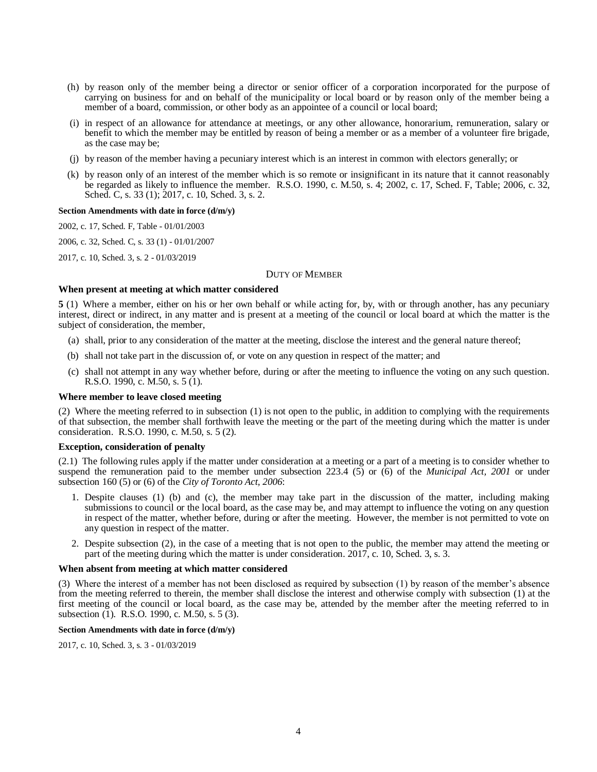- (h) by reason only of the member being a director or senior officer of a corporation incorporated for the purpose of carrying on business for and on behalf of the municipality or local board or by reason only of the member being a member of a board, commission, or other body as an appointee of a council or local board;
- (i) in respect of an allowance for attendance at meetings, or any other allowance, honorarium, remuneration, salary or benefit to which the member may be entitled by reason of being a member or as a member of a volunteer fire brigade, as the case may be;
- (j) by reason of the member having a pecuniary interest which is an interest in common with electors generally; or
- (k) by reason only of an interest of the member which is so remote or insignificant in its nature that it cannot reasonably be regarded as likely to influence the member. R.S.O. 1990, c. M.50, s. 4; 2002, c. 17, Sched. F, Table; 2006, c. 32, Sched. C, s. 33 (1); 2017, c. 10, Sched. 3, s. 2.

### **Section Amendments with date in force (d/m/y)**

[2002, c. 17, Sched. F, Table](http://www.ontario.ca/laws/statute/S02017#schedfs2) - 01/01/2003

[2006, c. 32, Sched. C, s. 33 \(1\)](http://www.ontario.ca/laws/statute/S06032#schedcs33s1) - 01/01/2007

<span id="page-3-0"></span>[2017, c. 10, Sched. 3, s. 2](http://www.ontario.ca/laws/statute/S17010#sched3s2) - 01/03/2019

## DUTY OF MEMBER

# **When present at meeting at which matter considered**

<span id="page-3-1"></span>**5** (1) Where a member, either on his or her own behalf or while acting for, by, with or through another, has any pecuniary interest, direct or indirect, in any matter and is present at a meeting of the council or local board at which the matter is the subject of consideration, the member,

- (a) shall, prior to any consideration of the matter at the meeting, disclose the interest and the general nature thereof;
- (b) shall not take part in the discussion of, or vote on any question in respect of the matter; and
- (c) shall not attempt in any way whether before, during or after the meeting to influence the voting on any such question. R.S.O. 1990, c. M.50, s. 5 (1).

## **Where member to leave closed meeting**

(2) Where the meeting referred to in subsection (1) is not open to the public, in addition to complying with the requirements of that subsection, the member shall forthwith leave the meeting or the part of the meeting during which the matter is under consideration. R.S.O. 1990, c. M.50, s. 5 (2).

### **Exception, consideration of penalty**

(2.1) The following rules apply if the matter under consideration at a meeting or a part of a meeting is to consider whether to suspend the remuneration paid to the member under subsection 223.4 (5) or (6) of the *Municipal Act, 2001* or under subsection 160 (5) or (6) of the *City of Toronto Act, 2006*:

- 1. Despite clauses (1) (b) and (c), the member may take part in the discussion of the matter, including making submissions to council or the local board, as the case may be, and may attempt to influence the voting on any question in respect of the matter, whether before, during or after the meeting. However, the member is not permitted to vote on any question in respect of the matter.
- 2. Despite subsection (2), in the case of a meeting that is not open to the public, the member may attend the meeting or part of the meeting during which the matter is under consideration. 2017, c. 10, Sched. 3, s. 3.

#### **When absent from meeting at which matter considered**

(3) Where the interest of a member has not been disclosed as required by subsection (1) by reason of the member's absence from the meeting referred to therein, the member shall disclose the interest and otherwise comply with subsection (1) at the first meeting of the council or local board, as the case may be, attended by the member after the meeting referred to in subsection (1). R.S.O. 1990, c. M.50, s. 5 (3).

#### **Section Amendments with date in force (d/m/y)**

[2017, c. 10, Sched. 3, s. 3](http://www.ontario.ca/laws/statute/S17010#sched3s3) - 01/03/2019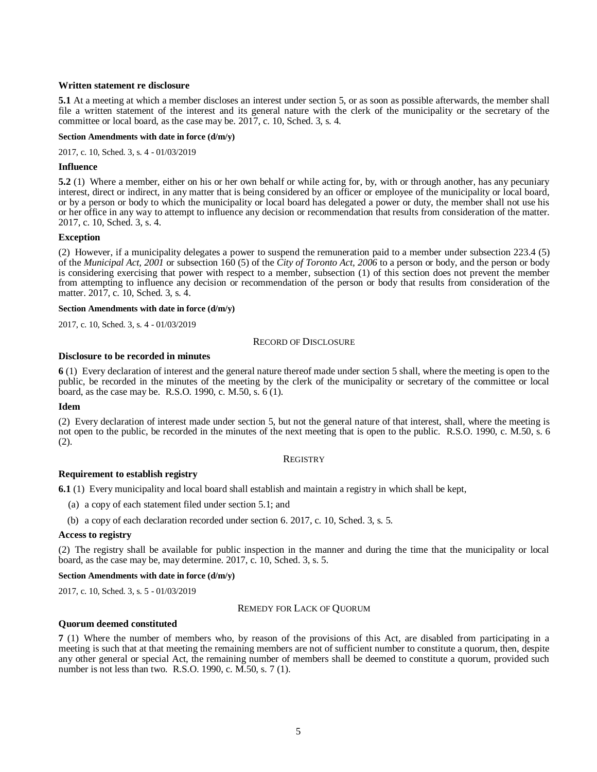## **Written statement re disclosure**

<span id="page-4-0"></span>**5.1** At a meeting at which a member discloses an interest under section 5, or as soon as possible afterwards, the member shall file a written statement of the interest and its general nature with the clerk of the municipality or the secretary of the committee or local board, as the case may be. 2017, c. 10, Sched. 3, s. 4.

### **Section Amendments with date in force (d/m/y)**

[2017, c. 10, Sched. 3, s. 4](http://www.ontario.ca/laws/statute/S17010#sched3s4) - 01/03/2019

## **Influence**

<span id="page-4-1"></span>**5.2** (1) Where a member, either on his or her own behalf or while acting for, by, with or through another, has any pecuniary interest, direct or indirect, in any matter that is being considered by an officer or employee of the municipality or local board, or by a person or body to which the municipality or local board has delegated a power or duty, the member shall not use his or her office in any way to attempt to influence any decision or recommendation that results from consideration of the matter. 2017, c. 10, Sched. 3, s. 4.

## **Exception**

(2) However, if a municipality delegates a power to suspend the remuneration paid to a member under subsection 223.4 (5) of the *Municipal Act, 2001* or subsection 160 (5) of the *City of Toronto Act, 2006* to a person or body, and the person or body is considering exercising that power with respect to a member, subsection (1) of this section does not prevent the member from attempting to influence any decision or recommendation of the person or body that results from consideration of the matter. 2017, c. 10, Sched. 3, s. 4.

### **Section Amendments with date in force (d/m/y)**

<span id="page-4-2"></span>[2017, c. 10, Sched. 3, s. 4](http://www.ontario.ca/laws/statute/S17010#sched3s4) - 01/03/2019

### RECORD OF DISCLOSURE

## **Disclosure to be recorded in minutes**

<span id="page-4-3"></span>**6** (1) Every declaration of interest and the general nature thereof made under section 5 shall, where the meeting is open to the public, be recorded in the minutes of the meeting by the clerk of the municipality or secretary of the committee or local board, as the case may be. R.S.O. 1990, c. M.50, s. 6 (1).

### **Idem**

(2) Every declaration of interest made under section 5, but not the general nature of that interest, shall, where the meeting is not open to the public, be recorded in the minutes of the next meeting that is open to the public. R.S.O. 1990, c. M.50, s. 6 (2).

### **REGISTRY**

## <span id="page-4-4"></span>**Requirement to establish registry**

<span id="page-4-5"></span>**6.1** (1) Every municipality and local board shall establish and maintain a registry in which shall be kept,

- (a) a copy of each statement filed under section 5.1; and
- (b) a copy of each declaration recorded under section 6. 2017, c. 10, Sched. 3, s. 5.

### **Access to registry**

(2) The registry shall be available for public inspection in the manner and during the time that the municipality or local board, as the case may be, may determine. 2017, c. 10, Sched. 3, s. 5.

### **Section Amendments with date in force (d/m/y)**

<span id="page-4-6"></span>[2017, c. 10, Sched. 3, s. 5](http://www.ontario.ca/laws/statute/S17010#sched3s5) - 01/03/2019

### REMEDY FOR LACK OF QUORUM

### **Quorum deemed constituted**

<span id="page-4-7"></span>**7** (1) Where the number of members who, by reason of the provisions of this Act, are disabled from participating in a meeting is such that at that meeting the remaining members are not of sufficient number to constitute a quorum, then, despite any other general or special Act, the remaining number of members shall be deemed to constitute a quorum, provided such number is not less than two. R.S.O. 1990, c. M.50, s. 7 (1).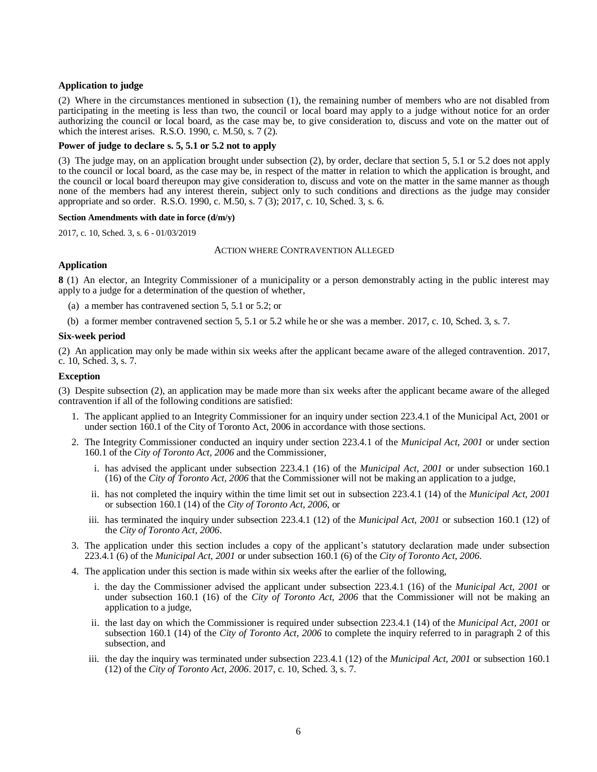## **Application to judge**

(2) Where in the circumstances mentioned in subsection (1), the remaining number of members who are not disabled from participating in the meeting is less than two, the council or local board may apply to a judge without notice for an order authorizing the council or local board, as the case may be, to give consideration to, discuss and vote on the matter out of which the interest arises. R.S.O. 1990, c. M.50, s. 7 (2).

## **Power of judge to declare s. 5, 5.1 or 5.2 not to apply**

(3) The judge may, on an application brought under subsection (2), by order, declare that section 5, 5.1 or 5.2 does not apply to the council or local board, as the case may be, in respect of the matter in relation to which the application is brought, and the council or local board thereupon may give consideration to, discuss and vote on the matter in the same manner as though none of the members had any interest therein, subject only to such conditions and directions as the judge may consider appropriate and so order. R.S.O. 1990, c. M.50, s. 7 (3); 2017, c. 10, Sched. 3, s. 6.

### **Section Amendments with date in force (d/m/y)**

<span id="page-5-0"></span>[2017, c. 10, Sched. 3,](http://www.ontario.ca/laws/statute/S17010#sched3s6) s. 6 - 01/03/2019

## ACTION WHERE CONTRAVENTION ALLEGED

## **Application**

<span id="page-5-1"></span>**8** (1) An elector, an Integrity Commissioner of a municipality or a person demonstrably acting in the public interest may apply to a judge for a determination of the question of whether,

- (a) a member has contravened section 5, 5.1 or 5.2; or
- (b) a former member contravened section 5, 5.1 or 5.2 while he or she was a member. 2017, c. 10, Sched. 3, s. 7.

## **Six-week period**

(2) An application may only be made within six weeks after the applicant became aware of the alleged contravention. 2017, c. 10, Sched. 3, s. 7.

## **Exception**

(3) Despite subsection (2), an application may be made more than six weeks after the applicant became aware of the alleged contravention if all of the following conditions are satisfied:

- 1. The applicant applied to an Integrity Commissioner for an inquiry under section 223.4.1 of the Municipal Act, 2001 or under section 160.1 of the City of Toronto Act, 2006 in accordance with those sections.
- 2. The Integrity Commissioner conducted an inquiry under section 223.4.1 of the *Municipal Act, 2001* or under section 160.1 of the *City of Toronto Act, 2006* and the Commissioner,
	- i. has advised the applicant under subsection 223.4.1 (16) of the *Municipal Act, 2001* or under subsection 160.1 (16) of the *City of Toronto Act, 2006* that the Commissioner will not be making an application to a judge,
	- ii. has not completed the inquiry within the time limit set out in subsection 223.4.1 (14) of the *Municipal Act, 2001* or subsection 160.1 (14) of the *City of Toronto Act, 2006*, or
	- iii. has terminated the inquiry under subsection 223.4.1 (12) of the *Municipal Act, 2001* or subsection 160.1 (12) of the *City of Toronto Act, 2006*.
- 3. The application under this section includes a copy of the applicant's statutory declaration made under subsection 223.4.1 (6) of the *Municipal Act, 2001* or under subsection 160.1 (6) of the *City of Toronto Act, 2006*.
- 4. The application under this section is made within six weeks after the earlier of the following,
	- i. the day the Commissioner advised the applicant under subsection 223.4.1 (16) of the *Municipal Act, 2001* or under subsection 160.1 (16) of the *City of Toronto Act, 2006* that the Commissioner will not be making an application to a judge,
	- ii. the last day on which the Commissioner is required under subsection 223.4.1 (14) of the *Municipal Act, 2001* or subsection 160.1 (14) of the *City of Toronto Act, 2006* to complete the inquiry referred to in paragraph 2 of this subsection, and
	- iii. the day the inquiry was terminated under subsection 223.4.1 (12) of the *Municipal Act, 2001* or subsection 160.1 (12) of the *City of Toronto Act, 2006*. 2017, c. 10, Sched. 3, s. 7.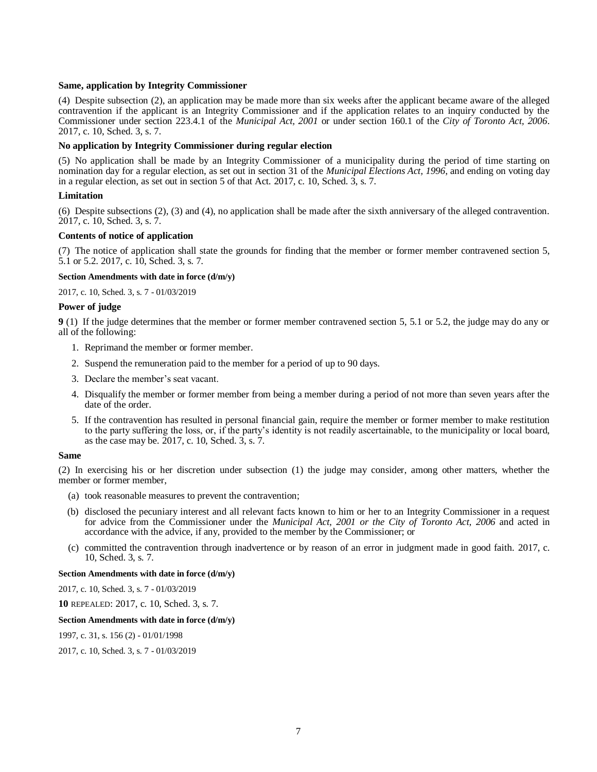## **Same, application by Integrity Commissioner**

(4) Despite subsection (2), an application may be made more than six weeks after the applicant became aware of the alleged contravention if the applicant is an Integrity Commissioner and if the application relates to an inquiry conducted by the Commissioner under section 223.4.1 of the *Municipal Act, 2001* or under section 160.1 of the *City of Toronto Act, 2006*. 2017, c. 10, Sched. 3, s. 7.

### **No application by Integrity Commissioner during regular election**

(5) No application shall be made by an Integrity Commissioner of a municipality during the period of time starting on nomination day for a regular election, as set out in section 31 of the *Municipal Elections Act, 1996*, and ending on voting day in a regular election, as set out in section 5 of that Act. 2017, c. 10, Sched. 3, s. 7.

## **Limitation**

(6) Despite subsections (2), (3) and (4), no application shall be made after the sixth anniversary of the alleged contravention. 2017, c. 10, Sched. 3, s. 7.

## **Contents of notice of application**

(7) The notice of application shall state the grounds for finding that the member or former member contravened section 5, 5.1 or 5.2. 2017, c. 10, Sched. 3, s. 7.

### **Section Amendments with date in force (d/m/y)**

[2017, c. 10, Sched. 3, s. 7](http://www.ontario.ca/laws/statute/S17010#sched3s7) - 01/03/2019

## **Power of judge**

<span id="page-6-0"></span>**9** (1) If the judge determines that the member or former member contravened section 5, 5.1 or 5.2, the judge may do any or all of the following:

- 1. Reprimand the member or former member.
- 2. Suspend the remuneration paid to the member for a period of up to 90 days.
- 3. Declare the member's seat vacant.
- 4. Disqualify the member or former member from being a member during a period of not more than seven years after the date of the order.
- 5. If the contravention has resulted in personal financial gain, require the member or former member to make restitution to the party suffering the loss, or, if the party's identity is not readily ascertainable, to the municipality or local board, as the case may be. 2017, c. 10, Sched. 3, s. 7.

### **Same**

(2) In exercising his or her discretion under subsection (1) the judge may consider, among other matters, whether the member or former member,

- (a) took reasonable measures to prevent the contravention;
- (b) disclosed the pecuniary interest and all relevant facts known to him or her to an Integrity Commissioner in a request for advice from the Commissioner under the *Municipal Act, 2001 or the City of Toronto Act, 2006* and acted in accordance with the advice, if any, provided to the member by the Commissioner; or
- (c) committed the contravention through inadvertence or by reason of an error in judgment made in good faith. 2017, c. 10, Sched. 3, s. 7.

## **Section Amendments with date in force (d/m/y)**

[2017, c. 10, Sched. 3, s. 7](http://www.ontario.ca/laws/statute/S17010#sched3s7) - 01/03/2019

**10** REPEALED: 2017, c. 10, Sched. 3, s. 7.

### **Section Amendments with date in force (d/m/y)**

1997, c. 31, s. 156 (2) - 01/01/1998

[2017, c. 10, Sched. 3, s. 7](http://www.ontario.ca/laws/statute/S17010#sched3s7) - 01/03/2019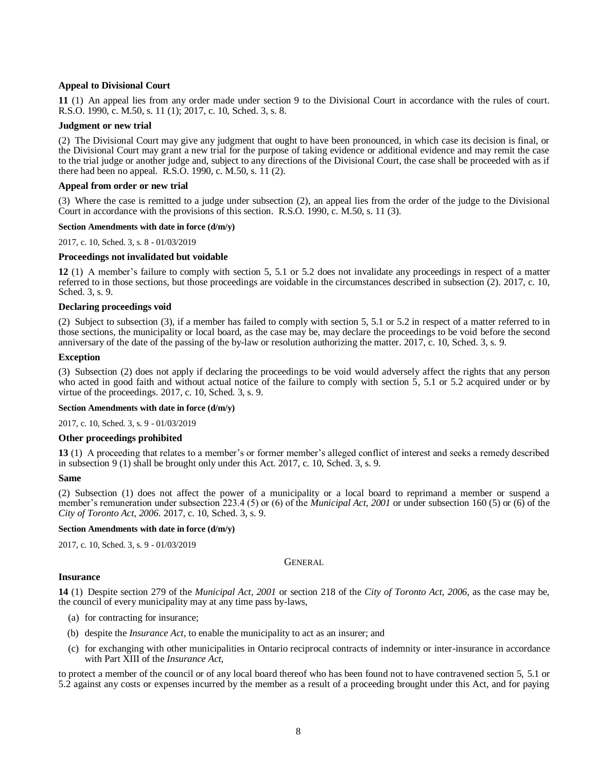## **Appeal to Divisional Court**

<span id="page-7-0"></span>**11** (1) An appeal lies from any order made under section 9 to the Divisional Court in accordance with the rules of court. R.S.O. 1990, c. M.50, s. 11 (1); 2017, c. 10, Sched. 3, s. 8.

## **Judgment or new trial**

(2) The Divisional Court may give any judgment that ought to have been pronounced, in which case its decision is final, or the Divisional Court may grant a new trial for the purpose of taking evidence or additional evidence and may remit the case to the trial judge or another judge and, subject to any directions of the Divisional Court, the case shall be proceeded with as if there had been no appeal. R.S.O. 1990, c. M.50, s. 11 (2).

## **Appeal from order or new trial**

(3) Where the case is remitted to a judge under subsection (2), an appeal lies from the order of the judge to the Divisional Court in accordance with the provisions of this section. R.S.O. 1990, c. M.50, s. 11 (3).

## **Section Amendments with date in force (d/m/y)**

[2017, c. 10, Sched. 3, s. 8](http://www.ontario.ca/laws/statute/S17010#sched3s8) - 01/03/2019

## **Proceedings not invalidated but voidable**

<span id="page-7-1"></span>**12** (1) A member's failure to comply with section 5, 5.1 or 5.2 does not invalidate any proceedings in respect of a matter referred to in those sections, but those proceedings are voidable in the circumstances described in subsection (2). 2017, c. 10, Sched. 3, s. 9.

## **Declaring proceedings void**

(2) Subject to subsection (3), if a member has failed to comply with section 5, 5.1 or 5.2 in respect of a matter referred to in those sections, the municipality or local board, as the case may be, may declare the proceedings to be void before the second anniversary of the date of the passing of the by-law or resolution authorizing the matter. 2017, c. 10, Sched. 3, s. 9.

## **Exception**

(3) Subsection (2) does not apply if declaring the proceedings to be void would adversely affect the rights that any person who acted in good faith and without actual notice of the failure to comply with section 5, 5.1 or 5.2 acquired under or by virtue of the proceedings. 2017, c. 10, Sched. 3, s. 9.

### **Section Amendments with date in force (d/m/y)**

[2017, c. 10, Sched. 3, s. 9](http://www.ontario.ca/laws/statute/S17010#sched3s9) - 01/03/2019

### **Other proceedings prohibited**

<span id="page-7-2"></span>**13** (1) A proceeding that relates to a member's or former member's alleged conflict of interest and seeks a remedy described in subsection 9 (1) shall be brought only under this Act. 2017, c. 10, Sched. 3, s. 9.

### **Same**

(2) Subsection (1) does not affect the power of a municipality or a local board to reprimand a member or suspend a member's remuneration under subsection 223.4 (5) or (6) of the *Municipal Act, 2001* or under subsection 160 (5) or (6) of the *City of Toronto Act, 2006*. 2017, c. 10, Sched. 3, s. 9.

### **Section Amendments with date in force (d/m/y)**

<span id="page-7-3"></span>[2017, c. 10, Sched. 3, s. 9](http://www.ontario.ca/laws/statute/S17010#sched3s9) - 01/03/2019

GENERAL

## **Insurance**

<span id="page-7-4"></span>**14** (1) Despite section 279 of the *Municipal Act, 2001* or section 218 of the *City of Toronto Act, 2006*, as the case may be, the council of every municipality may at any time pass by-laws,

- (a) for contracting for insurance;
- (b) despite the *Insurance Act*, to enable the municipality to act as an insurer; and
- (c) for exchanging with other municipalities in Ontario reciprocal contracts of indemnity or inter-insurance in accordance with Part XIII of the *Insurance Act*,

to protect a member of the council or of any local board thereof who has been found not to have contravened section 5, 5.1 or 5.2 against any costs or expenses incurred by the member as a result of a proceeding brought under this Act, and for paying